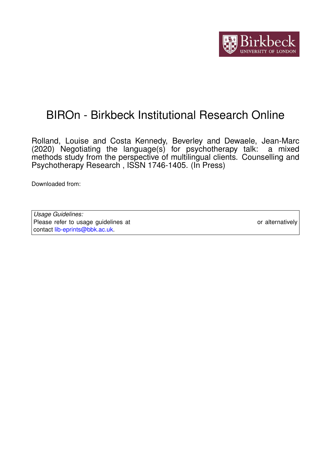

# BIROn - Birkbeck Institutional Research Online

Rolland, Louise and Costa Kennedy, Beverley and Dewaele, Jean-Marc (2020) Negotiating the language(s) for psychotherapy talk: a mixed methods study from the perspective of multilingual clients. Counselling and Psychotherapy Research , ISSN 1746-1405. (In Press)

Downloaded from: <https://eprints.bbk.ac.uk/id/eprint/41888/>

| Usage Guidelines:                                                           |                  |
|-----------------------------------------------------------------------------|------------------|
| Please refer to usage guidelines at https://eprints.bbk.ac.uk/policies.html | or alternatively |
| contact lib-eprints@bbk.ac.uk                                               |                  |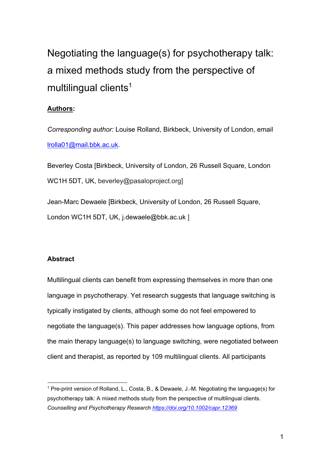Negotiating the language(s) for psychotherapy talk: a mixed methods study from the perspective of multilingual clients<sup>1</sup>

# **Authors:**

*Corresponding author:* Louise Rolland, Birkbeck, University of London, email [lrolla01@mail.bbk.ac.uk.](mailto:lrolla01@mail.bbk.ac.uk)

Beverley Costa [Birkbeck, University of London, 26 Russell Square, London WC1H 5DT, UK, beverley@pasaloproject.org]

Jean-Marc Dewaele [Birkbeck, University of London, 26 Russell Square, London WC1H 5DT, UK, j.dewaele@bbk.ac.uk ]

## **Abstract**

1

Multilingual clients can benefit from expressing themselves in more than one language in psychotherapy. Yet research suggests that language switching is typically instigated by clients, although some do not feel empowered to negotiate the language(s). This paper addresses how language options, from the main therapy language(s) to language switching, were negotiated between client and therapist, as reported by 109 multilingual clients. All participants

<sup>1</sup> Pre-print version of Rolland, L., Costa, B., & Dewaele, J.-M. Negotiating the language(s) for psychotherapy talk: A mixed methods study from the perspective of multilingual clients. *Counselling and Psychotherapy Research<https://doi.org/10.1002/capr.12369>*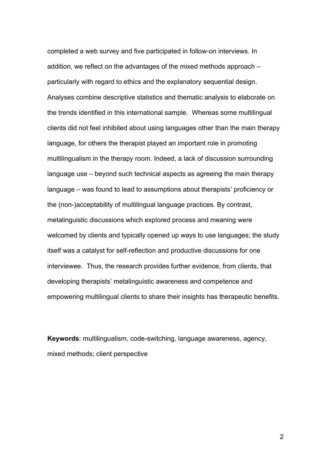completed a web survey and five participated in follow-on interviews. In addition, we reflect on the advantages of the mixed methods approach – particularly with regard to ethics and the explanatory sequential design. Analyses combine descriptive statistics and thematic analysis to elaborate on the trends identified in this international sample. Whereas some multilingual clients did not feel inhibited about using languages other than the main therapy language, for others the therapist played an important role in promoting multilingualism in the therapy room. Indeed, a lack of discussion surrounding language use – beyond such technical aspects as agreeing the main therapy language – was found to lead to assumptions about therapists' proficiency or the (non-)acceptability of multilingual language practices. By contrast, metalinguistic discussions which explored process and meaning were welcomed by clients and typically opened up ways to use languages; the study itself was a catalyst for self-reflection and productive discussions for one interviewee. Thus, the research provides further evidence, from clients, that developing therapists' metalinguistic awareness and competence and empowering multilingual clients to share their insights has therapeutic benefits.

**Keywords**: multilingualism, code-switching, language awareness, agency, mixed methods; client perspective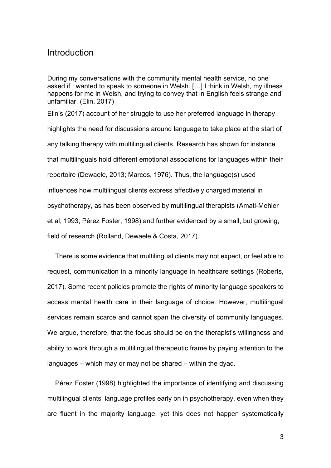# Introduction

During my conversations with the community mental health service, no one asked if I wanted to speak to someone in Welsh. […] I think in Welsh, my illness happens for me in Welsh, and trying to convey that in English feels strange and unfamiliar. (Elin, 2017)

Elin's (2017) account of her struggle to use her preferred language in therapy highlights the need for discussions around language to take place at the start of any talking therapy with multilingual clients. Research has shown for instance that multilinguals hold different emotional associations for languages within their repertoire (Dewaele, 2013; Marcos, 1976). Thus, the language(s) used influences how multilingual clients express affectively charged material in psychotherapy, as has been observed by multilingual therapists (Amati-Mehler et al, 1993; Pérez Foster, 1998) and further evidenced by a small, but growing, field of research (Rolland, Dewaele & Costa, 2017).

There is some evidence that multilingual clients may not expect, or feel able to request, communication in a minority language in healthcare settings (Roberts, 2017). Some recent policies promote the rights of minority language speakers to access mental health care in their language of choice. However, multilingual services remain scarce and cannot span the diversity of community languages. We argue, therefore, that the focus should be on the therapist's willingness and ability to work through a multilingual therapeutic frame by paying attention to the languages – which may or may not be shared – within the dyad.

Pérez Foster (1998) highlighted the importance of identifying and discussing multilingual clients' language profiles early on in psychotherapy, even when they are fluent in the majority language, yet this does not happen systematically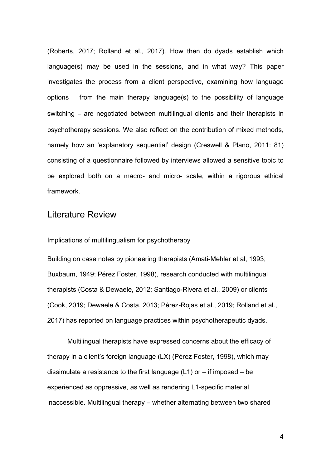(Roberts, 2017; Rolland et al., 2017). How then do dyads establish which language(s) may be used in the sessions, and in what way? This paper investigates the process from a client perspective, examining how language options – from the main therapy language(s) to the possibility of language switching – are negotiated between multilingual clients and their therapists in psychotherapy sessions. We also reflect on the contribution of mixed methods, namely how an 'explanatory sequential' design (Creswell & Plano, 2011: 81) consisting of a questionnaire followed by interviews allowed a sensitive topic to be explored both on a macro- and micro- scale, within a rigorous ethical framework.

# Literature Review

Implications of multilingualism for psychotherapy

Building on case notes by pioneering therapists (Amati-Mehler et al, 1993; Buxbaum, 1949; Pérez Foster, 1998), research conducted with multilingual therapists (Costa & Dewaele, 2012; Santiago-Rivera et al., 2009) or clients (Cook, 2019; Dewaele & Costa, 2013; Pérez-Rojas et al., 2019; Rolland et al., 2017) has reported on language practices within psychotherapeutic dyads.

Multilingual therapists have expressed concerns about the efficacy of therapy in a client's foreign language (LX) (Pérez Foster, 1998), which may dissimulate a resistance to the first language  $(L1)$  or  $-$  if imposed  $-$  be experienced as oppressive, as well as rendering L1-specific material inaccessible. Multilingual therapy – whether alternating between two shared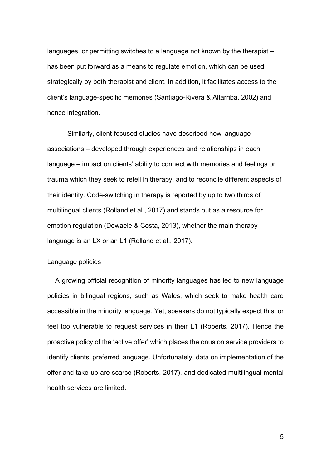languages, or permitting switches to a language not known by the therapist – has been put forward as a means to regulate emotion, which can be used strategically by both therapist and client. In addition, it facilitates access to the client's language-specific memories (Santiago-Rivera & Altarriba, 2002) and hence integration.

Similarly, client-focused studies have described how language associations – developed through experiences and relationships in each language – impact on clients' ability to connect with memories and feelings or trauma which they seek to retell in therapy, and to reconcile different aspects of their identity. Code-switching in therapy is reported by up to two thirds of multilingual clients (Rolland et al., 2017) and stands out as a resource for emotion regulation (Dewaele & Costa, 2013), whether the main therapy language is an LX or an L1 (Rolland et al., 2017).

# Language policies

A growing official recognition of minority languages has led to new language policies in bilingual regions, such as Wales, which seek to make health care accessible in the minority language. Yet, speakers do not typically expect this, or feel too vulnerable to request services in their L1 (Roberts, 2017). Hence the proactive policy of the 'active offer' which places the onus on service providers to identify clients' preferred language. Unfortunately, data on implementation of the offer and take-up are scarce (Roberts, 2017), and dedicated multilingual mental health services are limited.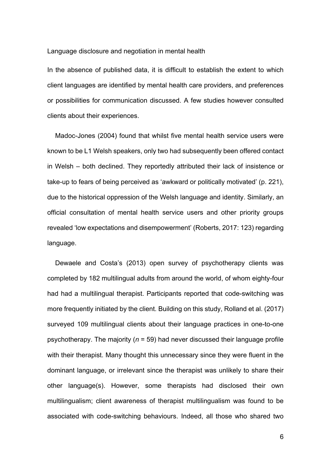Language disclosure and negotiation in mental health

In the absence of published data, it is difficult to establish the extent to which client languages are identified by mental health care providers, and preferences or possibilities for communication discussed. A few studies however consulted clients about their experiences.

Madoc-Jones (2004) found that whilst five mental health service users were known to be L1 Welsh speakers, only two had subsequently been offered contact in Welsh – both declined. They reportedly attributed their lack of insistence or take-up to fears of being perceived as 'awkward or politically motivated' (p. 221), due to the historical oppression of the Welsh language and identity. Similarly, an official consultation of mental health service users and other priority groups revealed 'low expectations and disempowerment' (Roberts, 2017: 123) regarding language.

Dewaele and Costa's (2013) open survey of psychotherapy clients was completed by 182 multilingual adults from around the world, of whom eighty-four had had a multilingual therapist. Participants reported that code-switching was more frequently initiated by the client. Building on this study, Rolland et al. (2017) surveyed 109 multilingual clients about their language practices in one-to-one psychotherapy. The majority (*n* = 59) had never discussed their language profile with their therapist. Many thought this unnecessary since they were fluent in the dominant language, or irrelevant since the therapist was unlikely to share their other language(s). However, some therapists had disclosed their own multilingualism; client awareness of therapist multilingualism was found to be associated with code-switching behaviours. Indeed, all those who shared two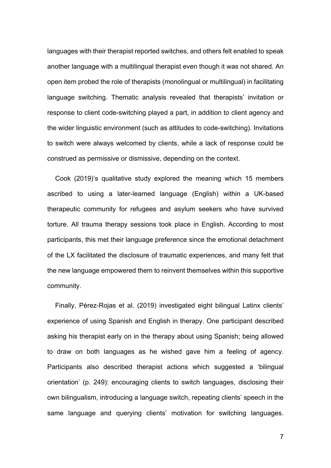languages with their therapist reported switches, and others felt enabled to speak another language with a multilingual therapist even though it was not shared. An open item probed the role of therapists (monolingual or multilingual) in facilitating language switching. Thematic analysis revealed that therapists' invitation or response to client code-switching played a part, in addition to client agency and the wider linguistic environment (such as attitudes to code-switching). Invitations to switch were always welcomed by clients, while a lack of response could be construed as permissive or dismissive, depending on the context.

Cook (2019)'s qualitative study explored the meaning which 15 members ascribed to using a later-learned language (English) within a UK-based therapeutic community for refugees and asylum seekers who have survived torture. All trauma therapy sessions took place in English. According to most participants, this met their language preference since the emotional detachment of the LX facilitated the disclosure of traumatic experiences, and many felt that the new language empowered them to reinvent themselves within this supportive community.

Finally, Pérez-Rojas et al. (2019) investigated eight bilingual Latinx clients' experience of using Spanish and English in therapy. One participant described asking his therapist early on in the therapy about using Spanish; being allowed to draw on both languages as he wished gave him a feeling of agency. Participants also described therapist actions which suggested a 'bilingual orientation' (p. 249): encouraging clients to switch languages, disclosing their own bilingualism, introducing a language switch, repeating clients' speech in the same language and querying clients' motivation for switching languages.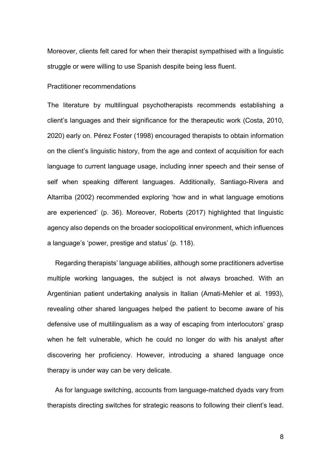Moreover, clients felt cared for when their therapist sympathised with a linguistic struggle or were willing to use Spanish despite being less fluent.

#### Practitioner recommendations

The literature by multilingual psychotherapists recommends establishing a client's languages and their significance for the therapeutic work (Costa, 2010, 2020) early on. Pérez Foster (1998) encouraged therapists to obtain information on the client's linguistic history, from the age and context of acquisition for each language to current language usage, including inner speech and their sense of self when speaking different languages. Additionally, Santiago-Rivera and Altarriba (2002) recommended exploring 'how and in what language emotions are experienced' (p. 36). Moreover, Roberts (2017) highlighted that linguistic agency also depends on the broader sociopolitical environment, which influences a language's 'power, prestige and status' (p. 118).

Regarding therapists' language abilities, although some practitioners advertise multiple working languages, the subject is not always broached. With an Argentinian patient undertaking analysis in Italian (Amati-Mehler et al. 1993), revealing other shared languages helped the patient to become aware of his defensive use of multilingualism as a way of escaping from interlocutors' grasp when he felt vulnerable, which he could no longer do with his analyst after discovering her proficiency. However, introducing a shared language once therapy is under way can be very delicate.

As for language switching, accounts from language-matched dyads vary from therapists directing switches for strategic reasons to following their client's lead.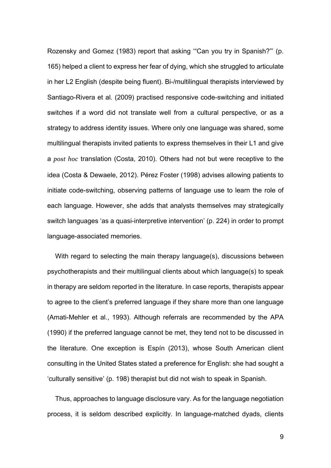Rozensky and Gomez (1983) report that asking '"Can you try in Spanish?"' (p. 165) helped a client to express her fear of dying, which she struggled to articulate in her L2 English (despite being fluent). Bi-/multilingual therapists interviewed by Santiago-Rivera et al. (2009) practised responsive code-switching and initiated switches if a word did not translate well from a cultural perspective, or as a strategy to address identity issues. Where only one language was shared, some multilingual therapists invited patients to express themselves in their L1 and give a *post hoc* translation (Costa, 2010). Others had not but were receptive to the idea (Costa & Dewaele, 2012). Pérez Foster (1998) advises allowing patients to initiate code-switching, observing patterns of language use to learn the role of each language. However, she adds that analysts themselves may strategically switch languages 'as a quasi-interpretive intervention' (p. 224) in order to prompt language-associated memories.

With regard to selecting the main therapy language(s), discussions between psychotherapists and their multilingual clients about which language(s) to speak in therapy are seldom reported in the literature. In case reports, therapists appear to agree to the client's preferred language if they share more than one language (Amati-Mehler et al., 1993). Although referrals are recommended by the APA (1990) if the preferred language cannot be met, they tend not to be discussed in the literature. One exception is Espín (2013), whose South American client consulting in the United States stated a preference for English: she had sought a 'culturally sensitive' (p. 198) therapist but did not wish to speak in Spanish.

Thus, approaches to language disclosure vary. As for the language negotiation process, it is seldom described explicitly. In language-matched dyads, clients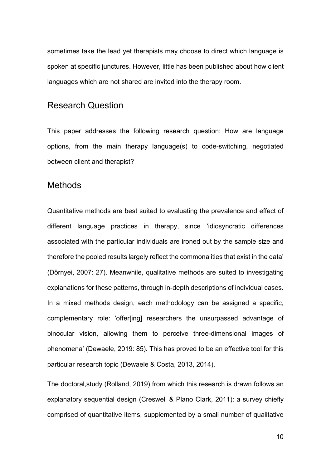sometimes take the lead yet therapists may choose to direct which language is spoken at specific junctures. However, little has been published about how client languages which are not shared are invited into the therapy room.

# Research Question

This paper addresses the following research question: How are language options, from the main therapy language(s) to code-switching, negotiated between client and therapist?

# **Methods**

Quantitative methods are best suited to evaluating the prevalence and effect of different language practices in therapy, since 'idiosyncratic differences associated with the particular individuals are ironed out by the sample size and therefore the pooled results largely reflect the commonalities that exist in the data' (Dӧrnyei, 2007: 27). Meanwhile, qualitative methods are suited to investigating explanations for these patterns, through in-depth descriptions of individual cases. In a mixed methods design, each methodology can be assigned a specific, complementary role: 'offer[ing] researchers the unsurpassed advantage of binocular vision, allowing them to perceive three-dimensional images of phenomena' (Dewaele, 2019: 85). This has proved to be an effective tool for this particular research topic (Dewaele & Costa, 2013, 2014).

The doctoral,study (Rolland, 2019) from which this research is drawn follows an explanatory sequential design (Creswell & Plano Clark, 2011): a survey chiefly comprised of quantitative items, supplemented by a small number of qualitative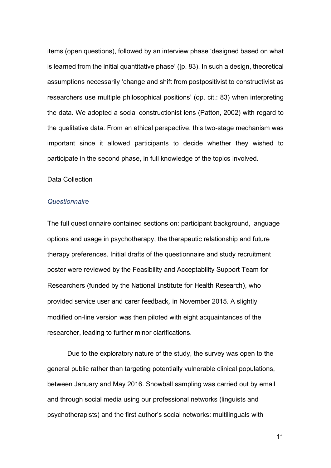items (open questions), followed by an interview phase 'designed based on what is learned from the initial quantitative phase' ([p. 83). In such a design, theoretical assumptions necessarily 'change and shift from postpositivist to constructivist as researchers use multiple philosophical positions' (op. cit.: 83) when interpreting the data. We adopted a social constructionist lens (Patton, 2002) with regard to the qualitative data. From an ethical perspective, this two-stage mechanism was important since it allowed participants to decide whether they wished to participate in the second phase, in full knowledge of the topics involved.

### Data Collection

#### *Questionnaire*

The full questionnaire contained sections on: participant background, language options and usage in psychotherapy, the therapeutic relationship and future therapy preferences. Initial drafts of the questionnaire and study recruitment poster were reviewed by the Feasibility and Acceptability Support Team for Researchers (funded by the National Institute for Health Research), who provided service user and carer feedback, in November 2015. A slightly modified on-line version was then piloted with eight acquaintances of the researcher, leading to further minor clarifications.

Due to the exploratory nature of the study, the survey was open to the general public rather than targeting potentially vulnerable clinical populations, between January and May 2016. Snowball sampling was carried out by email and through social media using our professional networks (linguists and psychotherapists) and the first author's social networks: multilinguals with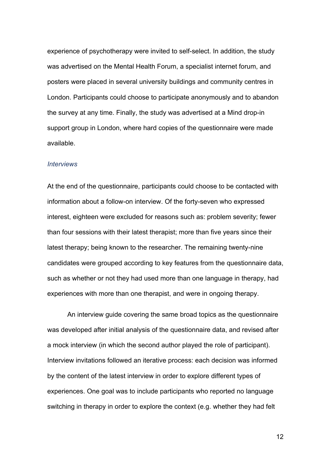experience of psychotherapy were invited to self-select. In addition, the study was advertised on the Mental Health Forum, a specialist internet forum, and posters were placed in several university buildings and community centres in London. Participants could choose to participate anonymously and to abandon the survey at any time. Finally, the study was advertised at a Mind drop-in support group in London, where hard copies of the questionnaire were made available.

### *Interviews*

At the end of the questionnaire, participants could choose to be contacted with information about a follow-on interview. Of the forty-seven who expressed interest, eighteen were excluded for reasons such as: problem severity; fewer than four sessions with their latest therapist; more than five years since their latest therapy; being known to the researcher. The remaining twenty-nine candidates were grouped according to key features from the questionnaire data, such as whether or not they had used more than one language in therapy, had experiences with more than one therapist, and were in ongoing therapy.

An interview guide covering the same broad topics as the questionnaire was developed after initial analysis of the questionnaire data, and revised after a mock interview (in which the second author played the role of participant). Interview invitations followed an iterative process: each decision was informed by the content of the latest interview in order to explore different types of experiences. One goal was to include participants who reported no language switching in therapy in order to explore the context (e.g. whether they had felt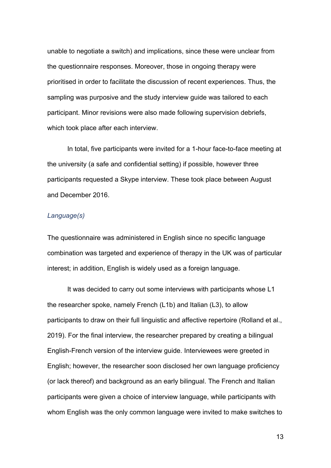unable to negotiate a switch) and implications, since these were unclear from the questionnaire responses. Moreover, those in ongoing therapy were prioritised in order to facilitate the discussion of recent experiences. Thus, the sampling was purposive and the study interview guide was tailored to each participant. Minor revisions were also made following supervision debriefs, which took place after each interview.

In total, five participants were invited for a 1-hour face-to-face meeting at the university (a safe and confidential setting) if possible, however three participants requested a Skype interview. These took place between August and December 2016.

# *Language(s)*

The questionnaire was administered in English since no specific language combination was targeted and experience of therapy in the UK was of particular interest; in addition, English is widely used as a foreign language.

It was decided to carry out some interviews with participants whose L1 the researcher spoke, namely French (L1b) and Italian (L3), to allow participants to draw on their full linguistic and affective repertoire (Rolland et al., 2019). For the final interview, the researcher prepared by creating a bilingual English-French version of the interview guide. Interviewees were greeted in English; however, the researcher soon disclosed her own language proficiency (or lack thereof) and background as an early bilingual. The French and Italian participants were given a choice of interview language, while participants with whom English was the only common language were invited to make switches to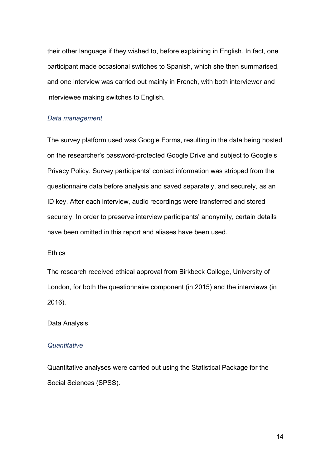their other language if they wished to, before explaining in English. In fact, one participant made occasional switches to Spanish, which she then summarised, and one interview was carried out mainly in French, with both interviewer and interviewee making switches to English.

### *Data management*

The survey platform used was Google Forms, resulting in the data being hosted on the researcher's password-protected Google Drive and subject to Google's Privacy Policy. Survey participants' contact information was stripped from the questionnaire data before analysis and saved separately, and securely, as an ID key. After each interview, audio recordings were transferred and stored securely. In order to preserve interview participants' anonymity, certain details have been omitted in this report and aliases have been used.

# **Ethics**

The research received ethical approval from Birkbeck College, University of London, for both the questionnaire component (in 2015) and the interviews (in 2016).

### Data Analysis

### *Quantitative*

Quantitative analyses were carried out using the Statistical Package for the Social Sciences (SPSS).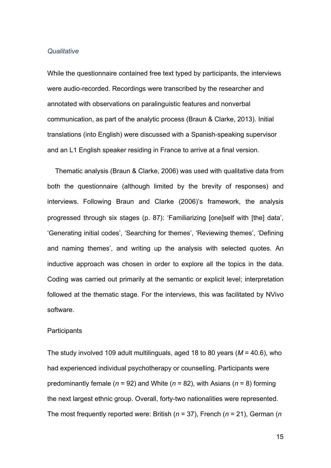### *Qualitative*

While the questionnaire contained free text typed by participants, the interviews were audio-recorded. Recordings were transcribed by the researcher and annotated with observations on paralinguistic features and nonverbal communication, as part of the analytic process (Braun & Clarke, 2013). Initial translations (into English) were discussed with a Spanish-speaking supervisor and an L1 English speaker residing in France to arrive at a final version.

Thematic analysis (Braun & Clarke, 2006) was used with qualitative data from both the questionnaire (although limited by the brevity of responses) and interviews. Following Braun and Clarke (2006)'s framework, the analysis progressed through six stages (p. 87): 'Familiarizing [one]self with [the] data', 'Generating initial codes', 'Searching for themes', 'Reviewing themes', 'Defining and naming themes', and writing up the analysis with selected quotes. An inductive approach was chosen in order to explore all the topics in the data. Coding was carried out primarily at the semantic or explicit level; interpretation followed at the thematic stage. For the interviews, this was facilitated by NVivo software.

#### **Participants**

The study involved 109 adult multilinguals, aged 18 to 80 years (*M* = 40.6), who had experienced individual psychotherapy or counselling. Participants were predominantly female (*n* = 92) and White (*n* = 82), with Asians (*n* = 8) forming the next largest ethnic group. Overall, forty-two nationalities were represented. The most frequently reported were: British (*n* = 37), French (*n* = 21), German (*n*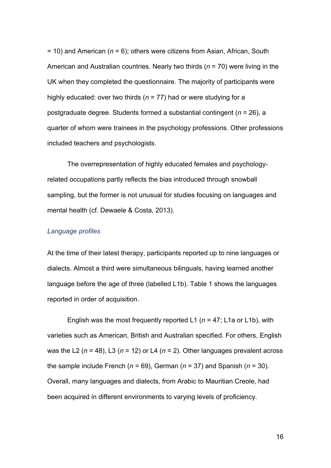= 10) and American (*n* = 6); others were citizens from Asian, African, South American and Australian countries. Nearly two thirds (*n* = 70) were living in the UK when they completed the questionnaire. The majority of participants were highly educated: over two thirds (*n* = 77) had or were studying for a postgraduate degree. Students formed a substantial contingent (*n* = 26), a quarter of whom were trainees in the psychology professions. Other professions included teachers and psychologists.

The overrepresentation of highly educated females and psychologyrelated occupations partly reflects the bias introduced through snowball sampling, but the former is not unusual for studies focusing on languages and mental health (cf. Dewaele & Costa, 2013).

#### *Language profiles*

At the time of their latest therapy, participants reported up to nine languages or dialects. Almost a third were simultaneous bilinguals, having learned another language before the age of three (labelled L1b). [Table 1](#page-36-0) shows the languages reported in order of acquisition.

English was the most frequently reported L1 (*n* = 47; L1a or L1b), with varieties such as American, British and Australian specified. For others, English was the L2 ( $n = 48$ ), L3 ( $n = 12$ ) or L4 ( $n = 2$ ). Other languages prevalent across the sample include French ( $n = 69$ ), German ( $n = 37$ ) and Spanish ( $n = 30$ ). Overall, many languages and dialects, from Arabic to Mauritian Creole, had been acquired in different environments to varying levels of proficiency.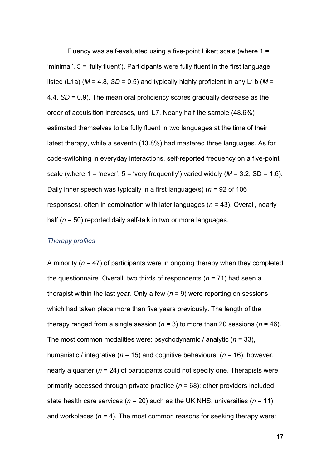Fluency was self-evaluated using a five-point Likert scale (where 1 = 'minimal', 5 = 'fully fluent'). Participants were fully fluent in the first language listed (L1a) ( $M = 4.8$ , SD = 0.5) and typically highly proficient in any L1b ( $M =$ 4.4, *SD* = 0.9). The mean oral proficiency scores gradually decrease as the order of acquisition increases, until L7. Nearly half the sample (48.6%) estimated themselves to be fully fluent in two languages at the time of their latest therapy, while a seventh (13.8%) had mastered three languages. As for code-switching in everyday interactions, self-reported frequency on a five-point scale (where  $1 = 'never', 5 = 'very frequently')$  varied widely  $(M = 3.2, SD = 1.6)$ . Daily inner speech was typically in a first language(s) (*n* = 92 of 106 responses), often in combination with later languages (*n* = 43). Overall, nearly half (*n* = 50) reported daily self-talk in two or more languages.

# *Therapy profiles*

A minority (*n* = 47) of participants were in ongoing therapy when they completed the questionnaire. Overall, two thirds of respondents (*n* = 71) had seen a therapist within the last year. Only a few (*n* = 9) were reporting on sessions which had taken place more than five years previously. The length of the therapy ranged from a single session ( $n = 3$ ) to more than 20 sessions ( $n = 46$ ). The most common modalities were: psychodynamic / analytic (*n* = 33), humanistic / integrative (*n* = 15) and cognitive behavioural (*n* = 16); however, nearly a quarter (*n* = 24) of participants could not specify one. Therapists were primarily accessed through private practice  $(n = 68)$ ; other providers included state health care services (*n* = 20) such as the UK NHS, universities (*n* = 11) and workplaces (*n* = 4). The most common reasons for seeking therapy were: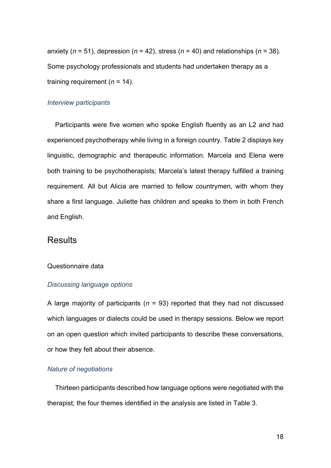anxiety ( $n = 51$ ), depression ( $n = 42$ ), stress ( $n = 40$ ) and relationships ( $n = 38$ ). Some psychology professionals and students had undertaken therapy as a training requirement (*n* = 14).

# *Interview participants*

Participants were five women who spoke English fluently as an L2 and had experienced psychotherapy while living in a foreign country. Table 2 displays key linguistic, demographic and therapeutic information. Marcela and Elena were both training to be psychotherapists; Marcela's latest therapy fulfilled a training requirement. All but Alicia are married to fellow countrymen, with whom they share a first language. Juliette has children and speaks to them in both French and English.

# **Results**

## Questionnaire data

### *Discussing language options*

A large majority of participants (*n* = 93) reported that they had not discussed which languages or dialects could be used in therapy sessions. Below we report on an open question which invited participants to describe these conversations, or how they felt about their absence.

# *Nature of negotiations*

Thirteen participants described how language options were negotiated with the therapist; the four themes identified in the analysis are listed in Table 3.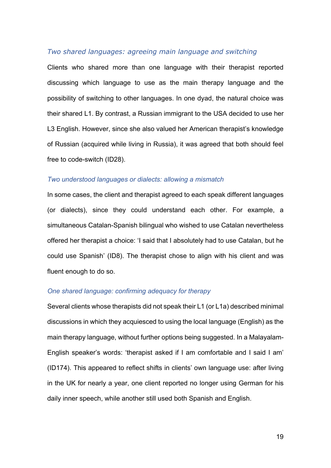# *Two shared languages: agreeing main language and switching*

Clients who shared more than one language with their therapist reported discussing which language to use as the main therapy language and the possibility of switching to other languages. In one dyad, the natural choice was their shared L1. By contrast, a Russian immigrant to the USA decided to use her L3 English. However, since she also valued her American therapist's knowledge of Russian (acquired while living in Russia), it was agreed that both should feel free to code-switch (ID28).

### *Two understood languages or dialects: allowing a mismatch*

In some cases, the client and therapist agreed to each speak different languages (or dialects), since they could understand each other. For example, a simultaneous Catalan-Spanish bilingual who wished to use Catalan nevertheless offered her therapist a choice: 'I said that I absolutely had to use Catalan, but he could use Spanish' (ID8). The therapist chose to align with his client and was fluent enough to do so.

# *One shared language: confirming adequacy for therapy*

Several clients whose therapists did not speak their L1 (or L1a) described minimal discussions in which they acquiesced to using the local language (English) as the main therapy language, without further options being suggested. In a Malayalam-English speaker's words: 'therapist asked if I am comfortable and I said I am' (ID174). This appeared to reflect shifts in clients' own language use: after living in the UK for nearly a year, one client reported no longer using German for his daily inner speech, while another still used both Spanish and English.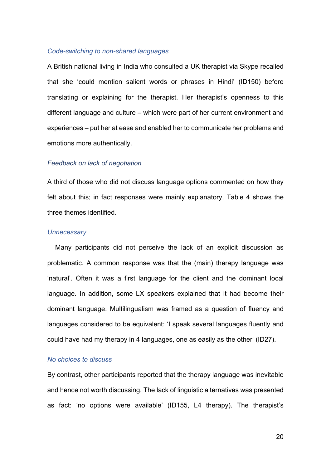### *Code-switching to non-shared languages*

A British national living in India who consulted a UK therapist via Skype recalled that she 'could mention salient words or phrases in Hindi' (ID150) before translating or explaining for the therapist. Her therapist's openness to this different language and culture – which were part of her current environment and experiences – put her at ease and enabled her to communicate her problems and emotions more authentically.

### *Feedback on lack of negotiation*

A third of those who did not discuss language options commented on how they felt about this; in fact responses were mainly explanatory. Table 4 shows the three themes identified.

### *Unnecessary*

Many participants did not perceive the lack of an explicit discussion as problematic. A common response was that the (main) therapy language was 'natural'. Often it was a first language for the client and the dominant local language. In addition, some LX speakers explained that it had become their dominant language. Multilingualism was framed as a question of fluency and languages considered to be equivalent: 'I speak several languages fluently and could have had my therapy in 4 languages, one as easily as the other' (ID27).

#### *No choices to discuss*

By contrast, other participants reported that the therapy language was inevitable and hence not worth discussing. The lack of linguistic alternatives was presented as fact: 'no options were available' (ID155, L4 therapy). The therapist's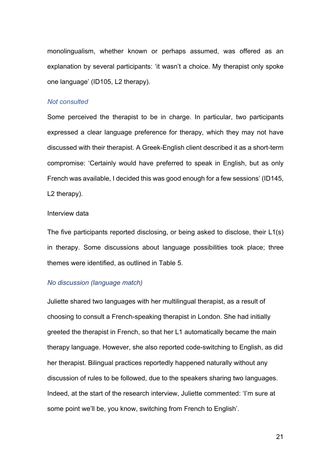monolingualism, whether known or perhaps assumed, was offered as an explanation by several participants: 'it wasn't a choice. My therapist only spoke one language' (ID105, L2 therapy).

#### *Not consulted*

Some perceived the therapist to be in charge. In particular, two participants expressed a clear language preference for therapy, which they may not have discussed with their therapist. A Greek-English client described it as a short-term compromise: 'Certainly would have preferred to speak in English, but as only French was available, I decided this was good enough for a few sessions' (ID145, L2 therapy).

#### Interview data

The five participants reported disclosing, or being asked to disclose, their L1(s) in therapy. Some discussions about language possibilities took place; three themes were identified, as outlined in Table 5.

# *No discussion (language match)*

Juliette shared two languages with her multilingual therapist, as a result of choosing to consult a French-speaking therapist in London. She had initially greeted the therapist in French, so that her L1 automatically became the main therapy language. However, she also reported code-switching to English, as did her therapist. Bilingual practices reportedly happened naturally without any discussion of rules to be followed, due to the speakers sharing two languages. Indeed, at the start of the research interview, Juliette commented: 'I'm sure at some point we'll be, you know, switching from French to English'.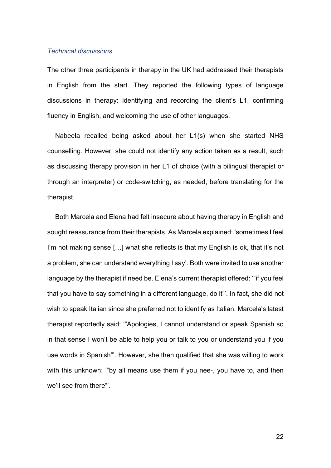# *Technical discussions*

The other three participants in therapy in the UK had addressed their therapists in English from the start. They reported the following types of language discussions in therapy: identifying and recording the client's L1, confirming fluency in English, and welcoming the use of other languages.

Nabeela recalled being asked about her L1(s) when she started NHS counselling. However, she could not identify any action taken as a result, such as discussing therapy provision in her L1 of choice (with a bilingual therapist or through an interpreter) or code-switching, as needed, before translating for the therapist.

Both Marcela and Elena had felt insecure about having therapy in English and sought reassurance from their therapists. As Marcela explained: 'sometimes I feel I'm not making sense [...] what she reflects is that my English is ok, that it's not a problem, she can understand everything I say'. Both were invited to use another language by the therapist if need be. Elena's current therapist offered: '"if you feel that you have to say something in a different language, do it"'. In fact, she did not wish to speak Italian since she preferred not to identify as Italian. Marcela's latest therapist reportedly said: '"Apologies, I cannot understand or speak Spanish so in that sense I won't be able to help you or talk to you or understand you if you use words in Spanish"'. However, she then qualified that she was willing to work with this unknown: '"by all means use them if you nee-, you have to, and then we'll see from there"'.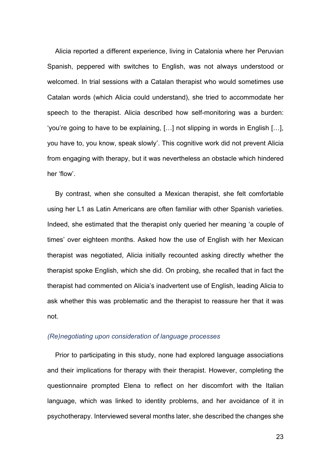Alicia reported a different experience, living in Catalonia where her Peruvian Spanish, peppered with switches to English, was not always understood or welcomed. In trial sessions with a Catalan therapist who would sometimes use Catalan words (which Alicia could understand), she tried to accommodate her speech to the therapist. Alicia described how self-monitoring was a burden: 'you're going to have to be explaining, […] not slipping in words in English […], you have to, you know, speak slowly'. This cognitive work did not prevent Alicia from engaging with therapy, but it was nevertheless an obstacle which hindered her 'flow'.

By contrast, when she consulted a Mexican therapist, she felt comfortable using her L1 as Latin Americans are often familiar with other Spanish varieties. Indeed, she estimated that the therapist only queried her meaning 'a couple of times' over eighteen months. Asked how the use of English with her Mexican therapist was negotiated, Alicia initially recounted asking directly whether the therapist spoke English, which she did. On probing, she recalled that in fact the therapist had commented on Alicia's inadvertent use of English, leading Alicia to ask whether this was problematic and the therapist to reassure her that it was not.

#### *(Re)negotiating upon consideration of language processes*

Prior to participating in this study, none had explored language associations and their implications for therapy with their therapist. However, completing the questionnaire prompted Elena to reflect on her discomfort with the Italian language, which was linked to identity problems, and her avoidance of it in psychotherapy. Interviewed several months later, she described the changes she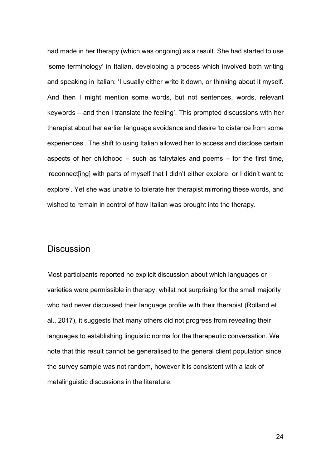had made in her therapy (which was ongoing) as a result. She had started to use 'some terminology' in Italian, developing a process which involved both writing and speaking in Italian: 'I usually either write it down, or thinking about it myself. And then I might mention some words, but not sentences, words, relevant keywords – and then I translate the feeling'. This prompted discussions with her therapist about her earlier language avoidance and desire 'to distance from some experiences'. The shift to using Italian allowed her to access and disclose certain aspects of her childhood – such as fairytales and poems – for the first time, 'reconnect[ing] with parts of myself that I didn't either explore, or I didn't want to explore'. Yet she was unable to tolerate her therapist mirroring these words, and wished to remain in control of how Italian was brought into the therapy.

# **Discussion**

Most participants reported no explicit discussion about which languages or varieties were permissible in therapy; whilst not surprising for the small majority who had never discussed their language profile with their therapist (Rolland et al., 2017), it suggests that many others did not progress from revealing their languages to establishing linguistic norms for the therapeutic conversation. We note that this result cannot be generalised to the general client population since the survey sample was not random, however it is consistent with a lack of metalinguistic discussions in the literature.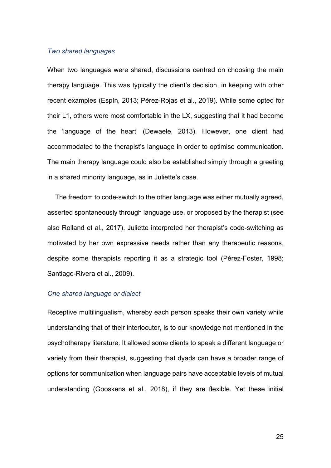### *Two shared languages*

When two languages were shared, discussions centred on choosing the main therapy language. This was typically the client's decision, in keeping with other recent examples (Espín, 2013; Pérez-Rojas et al., 2019). While some opted for their L1, others were most comfortable in the LX, suggesting that it had become the 'language of the heart' (Dewaele, 2013). However, one client had accommodated to the therapist's language in order to optimise communication. The main therapy language could also be established simply through a greeting in a shared minority language, as in Juliette's case.

The freedom to code-switch to the other language was either mutually agreed, asserted spontaneously through language use, or proposed by the therapist (see also Rolland et al., 2017). Juliette interpreted her therapist's code-switching as motivated by her own expressive needs rather than any therapeutic reasons, despite some therapists reporting it as a strategic tool (Pérez-Foster, 1998; Santiago-Rivera et al., 2009).

#### *One shared language or dialect*

Receptive multilingualism, whereby each person speaks their own variety while understanding that of their interlocutor, is to our knowledge not mentioned in the psychotherapy literature. It allowed some clients to speak a different language or variety from their therapist, suggesting that dyads can have a broader range of options for communication when language pairs have acceptable levels of mutual understanding (Gooskens et al., 2018), if they are flexible. Yet these initial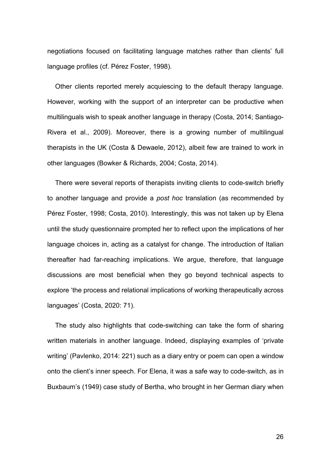negotiations focused on facilitating language matches rather than clients' full language profiles (cf. Pérez Foster, 1998).

Other clients reported merely acquiescing to the default therapy language. However, working with the support of an interpreter can be productive when multilinguals wish to speak another language in therapy (Costa, 2014; Santiago-Rivera et al., 2009). Moreover, there is a growing number of multilingual therapists in the UK (Costa & Dewaele, 2012), albeit few are trained to work in other languages (Bowker & Richards, 2004; Costa, 2014).

There were several reports of therapists inviting clients to code-switch briefly to another language and provide a *post hoc* translation (as recommended by Pérez Foster, 1998; Costa, 2010). Interestingly, this was not taken up by Elena until the study questionnaire prompted her to reflect upon the implications of her language choices in, acting as a catalyst for change. The introduction of Italian thereafter had far-reaching implications. We argue, therefore, that language discussions are most beneficial when they go beyond technical aspects to explore 'the process and relational implications of working therapeutically across languages' (Costa, 2020: 71).

The study also highlights that code-switching can take the form of sharing written materials in another language. Indeed, displaying examples of 'private writing' (Pavlenko, 2014: 221) such as a diary entry or poem can open a window onto the client's inner speech. For Elena, it was a safe way to code-switch, as in Buxbaum's (1949) case study of Bertha, who brought in her German diary when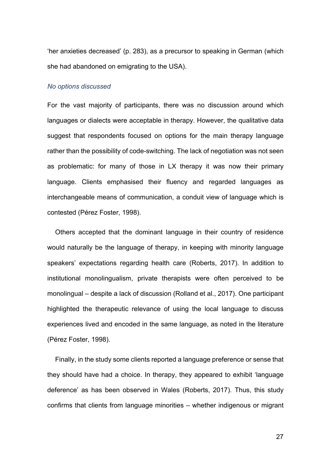'her anxieties decreased' (p. 283), as a precursor to speaking in German (which she had abandoned on emigrating to the USA).

#### *No options discussed*

For the vast majority of participants, there was no discussion around which languages or dialects were acceptable in therapy. However, the qualitative data suggest that respondents focused on options for the main therapy language rather than the possibility of code-switching. The lack of negotiation was not seen as problematic: for many of those in LX therapy it was now their primary language. Clients emphasised their fluency and regarded languages as interchangeable means of communication, a conduit view of language which is contested (Pérez Foster, 1998).

Others accepted that the dominant language in their country of residence would naturally be the language of therapy, in keeping with minority language speakers' expectations regarding health care (Roberts, 2017). In addition to institutional monolingualism, private therapists were often perceived to be monolingual – despite a lack of discussion (Rolland et al., 2017). One participant highlighted the therapeutic relevance of using the local language to discuss experiences lived and encoded in the same language, as noted in the literature (Pérez Foster, 1998).

Finally, in the study some clients reported a language preference or sense that they should have had a choice. In therapy, they appeared to exhibit 'language deference' as has been observed in Wales (Roberts, 2017). Thus, this study confirms that clients from language minorities – whether indigenous or migrant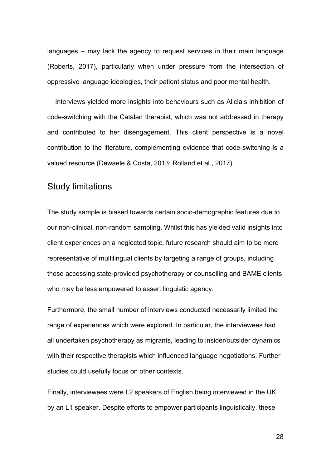languages – may lack the agency to request services in their main language (Roberts, 2017), particularly when under pressure from the intersection of oppressive language ideologies, their patient status and poor mental health.

Interviews yielded more insights into behaviours such as Alicia's inhibition of code-switching with the Catalan therapist, which was not addressed in therapy and contributed to her disengagement. This client perspective is a novel contribution to the literature, complementing evidence that code-switching is a valued resource (Dewaele & Costa, 2013; Rolland et al., 2017).

# Study limitations

The study sample is biased towards certain socio-demographic features due to our non-clinical, non-random sampling. Whilst this has yielded valid insights into client experiences on a neglected topic, future research should aim to be more representative of multilingual clients by targeting a range of groups, including those accessing state-provided psychotherapy or counselling and BAME clients who may be less empowered to assert linguistic agency.

Furthermore, the small number of interviews conducted necessarily limited the range of experiences which were explored. In particular, the interviewees had all undertaken psychotherapy as migrants, leading to insider/outsider dynamics with their respective therapists which influenced language negotiations. Further studies could usefully focus on other contexts.

Finally, interviewees were L2 speakers of English being interviewed in the UK by an L1 speaker. Despite efforts to empower participants linguistically, these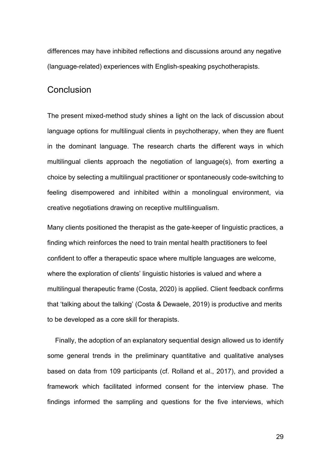differences may have inhibited reflections and discussions around any negative (language-related) experiences with English-speaking psychotherapists.

# **Conclusion**

The present mixed-method study shines a light on the lack of discussion about language options for multilingual clients in psychotherapy, when they are fluent in the dominant language. The research charts the different ways in which multilingual clients approach the negotiation of language(s), from exerting a choice by selecting a multilingual practitioner or spontaneously code-switching to feeling disempowered and inhibited within a monolingual environment, via creative negotiations drawing on receptive multilingualism.

Many clients positioned the therapist as the gate-keeper of linguistic practices, a finding which reinforces the need to train mental health practitioners to feel confident to offer a therapeutic space where multiple languages are welcome, where the exploration of clients' linguistic histories is valued and where a multilingual therapeutic frame (Costa, 2020) is applied. Client feedback confirms that 'talking about the talking' (Costa & Dewaele, 2019) is productive and merits to be developed as a core skill for therapists.

Finally, the adoption of an explanatory sequential design allowed us to identify some general trends in the preliminary quantitative and qualitative analyses based on data from 109 participants (cf. Rolland et al., 2017), and provided a framework which facilitated informed consent for the interview phase. The findings informed the sampling and questions for the five interviews, which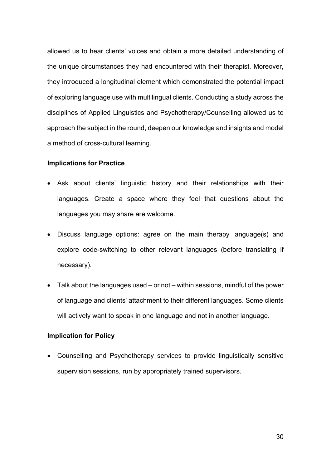allowed us to hear clients' voices and obtain a more detailed understanding of the unique circumstances they had encountered with their therapist. Moreover, they introduced a longitudinal element which demonstrated the potential impact of exploring language use with multilingual clients. Conducting a study across the disciplines of Applied Linguistics and Psychotherapy/Counselling allowed us to approach the subject in the round, deepen our knowledge and insights and model a method of cross-cultural learning.

# **Implications for Practice**

- Ask about clients' linguistic history and their relationships with their languages. Create a space where they feel that questions about the languages you may share are welcome.
- Discuss language options: agree on the main therapy language(s) and explore code-switching to other relevant languages (before translating if necessary).
- Talk about the languages used or not within sessions, mindful of the power of language and clients' attachment to their different languages. Some clients will actively want to speak in one language and not in another language.

# **Implication for Policy**

• Counselling and Psychotherapy services to provide linguistically sensitive supervision sessions, run by appropriately trained supervisors.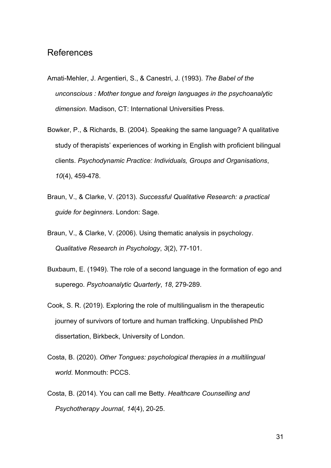# References

- Amati-Mehler, J. Argentieri, S., & Canestri, J. (1993). *The Babel of the unconscious : Mother tongue and foreign languages in the psychoanalytic dimension.* Madison, CT: International Universities Press.
- Bowker, P., & Richards, B. (2004). Speaking the same language? A qualitative study of therapists' experiences of working in English with proficient bilingual clients. *Psychodynamic Practice: Individuals, Groups and Organisations*, *10*(4), 459-478.
- Braun, V., & Clarke, V. (2013). *Successful Qualitative Research: a practical guide for beginners*. London: Sage.
- Braun, V., & Clarke, V. (2006). Using thematic analysis in psychology. *Qualitative Research in Psychology*, *3*(2), 77-101.
- Buxbaum, E. (1949). The role of a second language in the formation of ego and superego. *Psychoanalytic Quarterly*, *18*, 279-289.
- Cook, S. R. (2019). Exploring the role of multilingualism in the therapeutic journey of survivors of torture and human trafficking. Unpublished PhD dissertation, Birkbeck, University of London.
- Costa, B. (2020). *Other Tongues: psychological therapies in a multilingual world*. Monmouth: PCCS.
- Costa, B. (2014). You can call me Betty. *Healthcare Counselling and Psychotherapy Journal*, *14*(4), 20-25.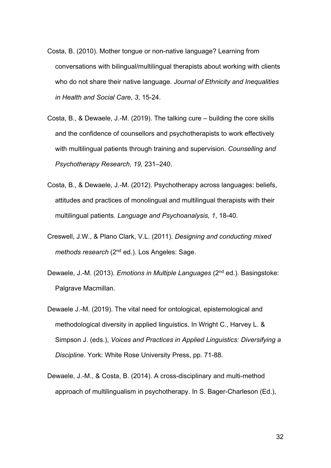- Costa, B. (2010). Mother tongue or non-native language? Learning from conversations with bilingual/multilingual therapists about working with clients who do not share their native language. *Journal of Ethnicity and Inequalities in Health and Social Care*, *3*, 15-24.
- Costa, B., & Dewaele, J.-M. (2019). The talking cure building the core skills and the confidence of counsellors and psychotherapists to work effectively with multilingual patients through training and supervision. *Counselling and Psychotherapy Research, 19,* 231–240.
- Costa, B., & Dewaele, J.-M. (2012). Psychotherapy across languages: beliefs, attitudes and practices of monolingual and multilingual therapists with their multilingual patients. *Language and Psychoanalysis, 1*, 18-40.
- Creswell, J.W., & Plano Clark, V.L. (2011). *Designing and conducting mixed methods research* (2<sup>nd</sup> ed.). Los Angeles: Sage.
- Dewaele, J.-M. (2013). *Emotions in Multiple Languages* (2nd ed.). Basingstoke: Palgrave Macmillan.
- Dewaele J.-M. (2019). The vital need for ontological, epistemological and methodological diversity in applied linguistics. In Wright C., Harvey L. & Simpson J. (eds.), *Voices and Practices in Applied Linguistics: Diversifying a Discipline*. York: White Rose University Press, pp. 71-88.
- Dewaele, J.-M., & Costa, B. (2014). A cross-disciplinary and multi-method approach of multilingualism in psychotherapy. In S. Bager-Charleson (Ed.),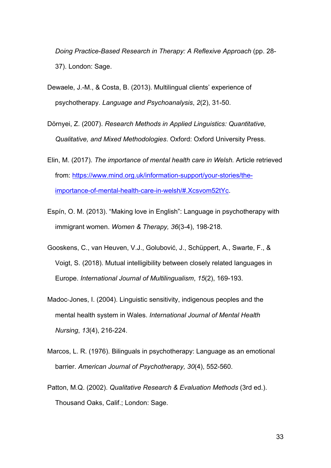*Doing Practice-Based Research in Therapy: A Reflexive Approach* (pp. 28- 37). London: Sage.

- Dewaele, J.-M., & Costa, B. (2013). Multilingual clients' experience of psychotherapy. *Language and Psychoanalysis*, *2*(2), 31-50.
- Dörnyei, Z. (2007). *Research Methods in Applied Linguistics: Quantitative, Qualitative, and Mixed Methodologies*. Oxford: Oxford University Press.
- Elin, M. (2017). *The importance of mental health care in Welsh.* Article retrieved from: [https://www.mind.org.uk/information-support/your-stories/the](https://www.mind.org.uk/information-support/your-stories/the-importance-of-mental-health-care-in-welsh/#.Xcsvom52tYc)[importance-of-mental-health-care-in-welsh/#.Xcsvom52tYc.](https://www.mind.org.uk/information-support/your-stories/the-importance-of-mental-health-care-in-welsh/#.Xcsvom52tYc)
- Espín, O. M. (2013). "Making love in English": Language in psychotherapy with immigrant women. *Women & Therapy, 36*(3-4), 198-218.
- Gooskens, C., van Heuven, V.J., Golubović, J., Schüppert, A., Swarte, F., & Voigt, S. (2018). Mutual intelligibility between closely related languages in Europe. *International Journal of Multilingualism*, *15*(2), 169-193.
- Madoc‐Jones, I. (2004). Linguistic sensitivity, indigenous peoples and the mental health system in Wales. *International Journal of Mental Health Nursing*, *13*(4), 216-224.
- Marcos, L. R. (1976). Bilinguals in psychotherapy: Language as an emotional barrier. *American Journal of Psychotherapy, 30*(4), 552-560.
- Patton, M.Q. (2002). *Qualitative Research & Evaluation Methods* (3rd ed.). Thousand Oaks, Calif.; London: Sage.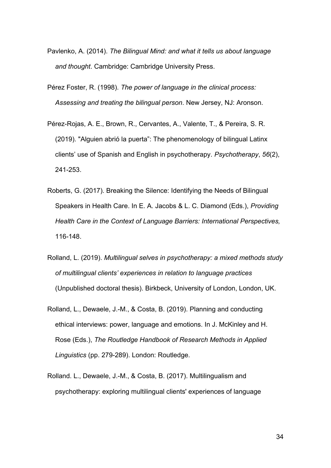- Pavlenko, A. (2014). *The Bilingual Mind: and what it tells us about language and thought*. Cambridge: Cambridge University Press.
- Pérez Foster, R. (1998). *The power of language in the clinical process: Assessing and treating the bilingual person*. New Jersey, NJ: Aronson.
- Pérez-Rojas, A. E., Brown, R., Cervantes, A., Valente, T., & Pereira, S. R. (2019). "Alguien abrió la puerta": The phenomenology of bilingual Latinx clients' use of Spanish and English in psychotherapy. *Psychotherapy*, *56*(2), 241-253.
- Roberts, G. (2017). Breaking the Silence: Identifying the Needs of Bilingual Speakers in Health Care. In E. A. Jacobs & L. C. Diamond (Eds.), *Providing Health Care in the Context of Language Barriers: International Perspectives,*  116-148.
- Rolland, L. (2019). *Multilingual selves in psychotherapy: a mixed methods study of multilingual clients' experiences in relation to language practices* (Unpublished doctoral thesis). Birkbeck, University of London, London, UK.
- Rolland, L., Dewaele, J.-M., & Costa, B. (2019). Planning and conducting ethical interviews: power, language and emotions. In J. McKinley and H. Rose (Eds.), *The Routledge Handbook of Research Methods in Applied Linguistics* (pp. 279-289). London: Routledge.
- Rolland. L., Dewaele, J.-M., & Costa, B. (2017). Multilingualism and psychotherapy: exploring multilingual clients' experiences of language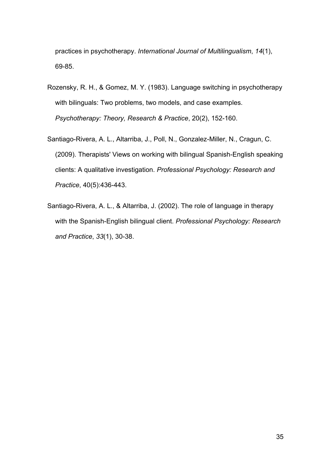practices in psychotherapy. *International Journal of Multilingualism*, *14*(1), 69-85.

- Rozensky, R. H., & Gomez, M. Y. (1983). Language switching in psychotherapy with bilinguals: Two problems, two models, and case examples. *Psychotherapy: Theory, Research & Practice*, 20(2), 152-160.
- Santiago-Rivera, A. L., Altarriba, J., Poll, N., Gonzalez-Miller, N., Cragun, C. (2009). Therapists' Views on working with bilingual Spanish-English speaking clients: A qualitative investigation. *Professional Psychology: Research and Practice*, 40(5):436-443.
- Santiago-Rivera, A. L., & Altarriba, J. (2002). The role of language in therapy with the Spanish-English bilingual client. *Professional Psychology: Research and Practice*, *33*(1), 30-38.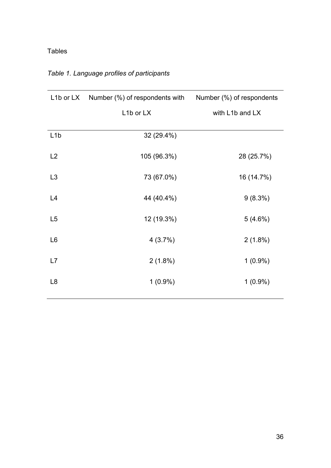# Tables

| L1b or LX Number (%) of respondents with Number (%) of respondents |                 |  |
|--------------------------------------------------------------------|-----------------|--|
| L1b or LX                                                          | with L1b and LX |  |
| 32 (29.4%)                                                         |                 |  |
| 105 (96.3%)                                                        | 28 (25.7%)      |  |
| 73 (67.0%)                                                         | 16 (14.7%)      |  |
| 44 (40.4%)                                                         | $9(8.3\%)$      |  |
| 12 (19.3%)                                                         | 5(4.6%)         |  |
| 4(3.7%)                                                            | $2(1.8\%)$      |  |
| $2(1.8\%)$                                                         | $1(0.9\%)$      |  |
| $1(0.9\%)$                                                         | $1(0.9\%)$      |  |
|                                                                    |                 |  |

# <span id="page-36-0"></span>*Table 1. Language profiles of participants*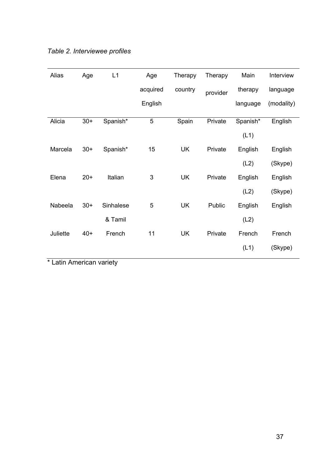| Alias    | Age   | L1        | Age      | Therapy   | Therapy  | Main     | Interview  |
|----------|-------|-----------|----------|-----------|----------|----------|------------|
|          |       |           | acquired | country   | provider | therapy  | language   |
|          |       |           | English  |           |          | language | (modality) |
| Alicia   | $30+$ | Spanish*  | 5        | Spain     | Private  | Spanish* | English    |
|          |       |           |          |           |          | (L1)     |            |
| Marcela  | $30+$ | Spanish*  | 15       | <b>UK</b> | Private  | English  | English    |
|          |       |           |          |           |          | (L2)     | (Skype)    |
| Elena    | $20+$ | Italian   | 3        | <b>UK</b> | Private  | English  | English    |
|          |       |           |          |           |          | (L2)     | (Skype)    |
| Nabeela  | $30+$ | Sinhalese | 5        | <b>UK</b> | Public   | English  | English    |
|          |       | & Tamil   |          |           |          | (L2)     |            |
| Juliette | $40+$ | French    | 11       | <b>UK</b> | Private  | French   | French     |
|          |       |           |          |           |          | (L1)     | (Skype)    |

*Table 2. Interviewee profiles*

\* Latin American variety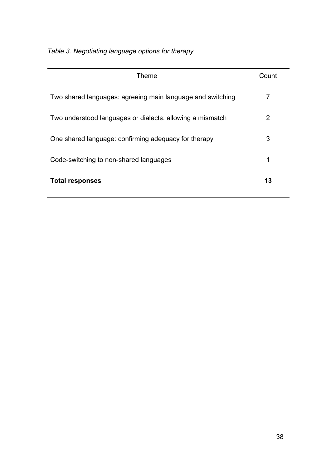| <b>Theme</b>                                               | Count |
|------------------------------------------------------------|-------|
| Two shared languages: agreeing main language and switching | 7     |
| Two understood languages or dialects: allowing a mismatch  | 2     |
| One shared language: confirming adequacy for therapy       | 3     |
| Code-switching to non-shared languages                     | 1     |
| <b>Total responses</b>                                     | 13    |

*Table 3. Negotiating language options for therapy*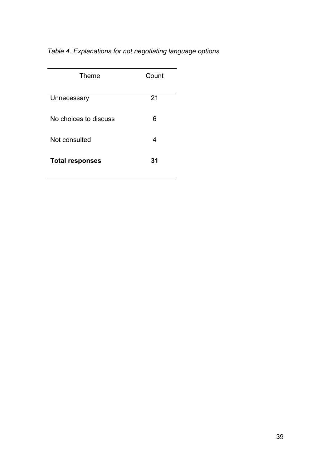# *Table 4. Explanations for not negotiating language options*

| Theme                  | Count |
|------------------------|-------|
| Unnecessary            | 21    |
| No choices to discuss  | 6     |
| Not consulted          | 4     |
| <b>Total responses</b> | 31    |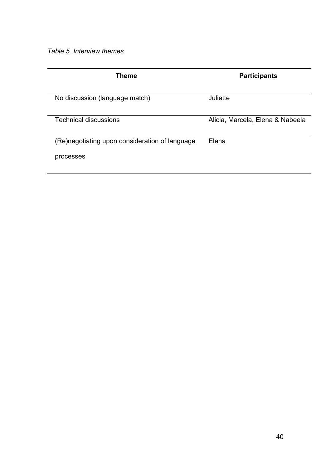*Table 5. Interview themes* 

| Theme                                          | <b>Participants</b>              |
|------------------------------------------------|----------------------------------|
| No discussion (language match)                 | Juliette                         |
| <b>Technical discussions</b>                   | Alicia, Marcela, Elena & Nabeela |
| (Re)negotiating upon consideration of language | Elena                            |
| processes                                      |                                  |